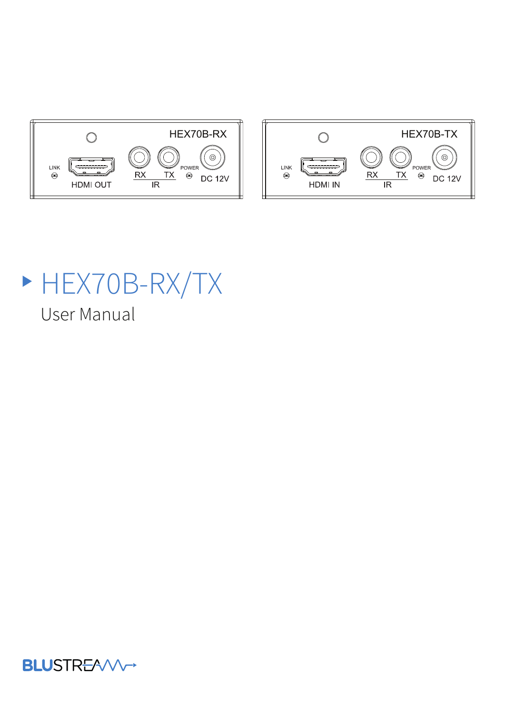



# HEX70B-RX/TX

User Manual

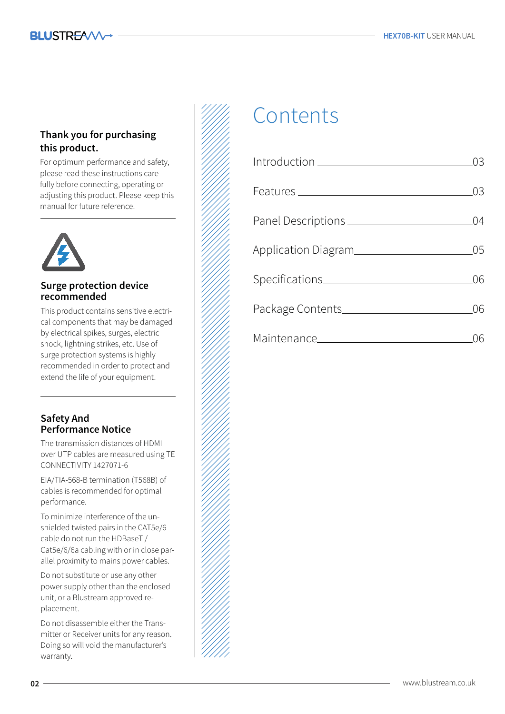#### **Thank you for purchasing this product.**

For optimum performance and safety, please read these instructions carefully before connecting, operating or adjusting this product. Please keep this manual for future reference.

#### **Surge protection device recommended**

This product contains sensitive electrical components that may be damaged by electrical spikes, surges, electric shock, lightning strikes, etc. Use of surge protection systems is highly recommended in order to protect and extend the life of your equipment.

#### **Safety And Performance Notice**

The transmission distances of HDMI over UTP cables are measured using TE CONNECTIVITY 1427071-6

EIA/TIA-568-B termination (T568B) of cables is recommended for optimal performance.

To minimize interference of the unshielded twisted pairs in the CAT5e/6 cable do not run the HDBaseT / Cat5e/6/6a cabling with or in close parallel proximity to mains power cables.

Do not substitute or use any other power supply other than the enclosed unit, or a Blustream approved replacement.

Do not disassemble either the Transmitter or Receiver units for any reason. Doing so will void the manufacturer's warranty.



# Contents

| $\int_0^1 f(t) \, dt = \int_0^1 f(t) \, dt = \int_0^1 f(t) \, dt = \int_0^1 f(t) \, dt = \int_0^1 f(t) \, dt = \int_0^1 f(t) \, dt = \int_0^1 f(t) \, dt = \int_0^1 f(t) \, dt = \int_0^1 f(t) \, dt = \int_0^1 f(t) \, dt = \int_0^1 f(t) \, dt = \int_0^1 f(t) \, dt = \int_0^1 f(t) \, dt = \int_0^1 f(t) \, dt = \int_0^1 f(t) \, dt = \int_0^1 f(t) \, dt = \int_0^1 f(t) \, dt$ | 03  |
|---------------------------------------------------------------------------------------------------------------------------------------------------------------------------------------------------------------------------------------------------------------------------------------------------------------------------------------------------------------------------------------|-----|
|                                                                                                                                                                                                                                                                                                                                                                                       | 03  |
|                                                                                                                                                                                                                                                                                                                                                                                       | 04  |
| Application Diagram                                                                                                                                                                                                                                                                                                                                                                   | .05 |
|                                                                                                                                                                                                                                                                                                                                                                                       | ()6 |
|                                                                                                                                                                                                                                                                                                                                                                                       | 06  |
|                                                                                                                                                                                                                                                                                                                                                                                       |     |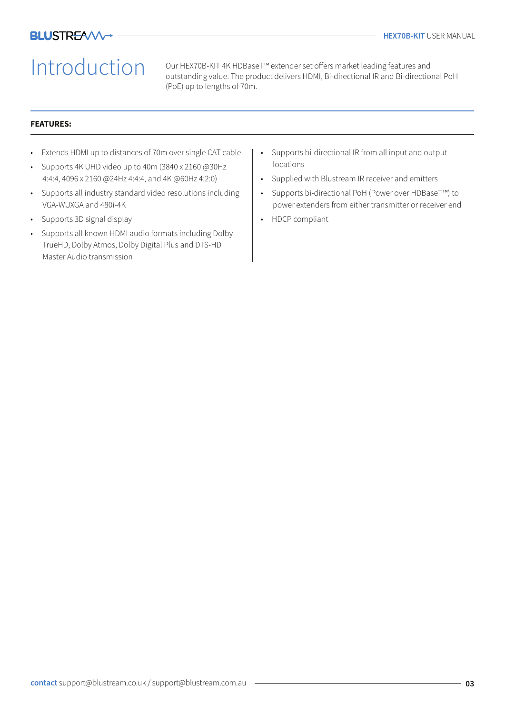# Introduction

Our HEX70B-KIT 4K HDBaseT™ extender set offers market leading features and outstanding value. The product delivers HDMI, Bi-directional IR and Bi-directional PoH (PoE) up to lengths of 70m.

#### **FEATURES:**

- Extends HDMI up to distances of 70m over single CAT cable
- Supports 4K UHD video up to 40m (3840 x 2160 @30Hz 4:4:4, 4096 x 2160 @24Hz 4:4:4, and 4K @60Hz 4:2:0)
- Supports all industry standard video resolutions including VGA-WUXGA and 480i-4K
- Supports 3D signal display
- Supports all known HDMI audio formats including Dolby TrueHD, Dolby Atmos, Dolby Digital Plus and DTS-HD Master Audio transmission
- Supports bi-directional IR from all input and output locations
- Supplied with Blustream IR receiver and emitters
- Supports bi-directional PoH (Power over HDBaseT™) to power extenders from either transmitter or receiver end
- HDCP compliant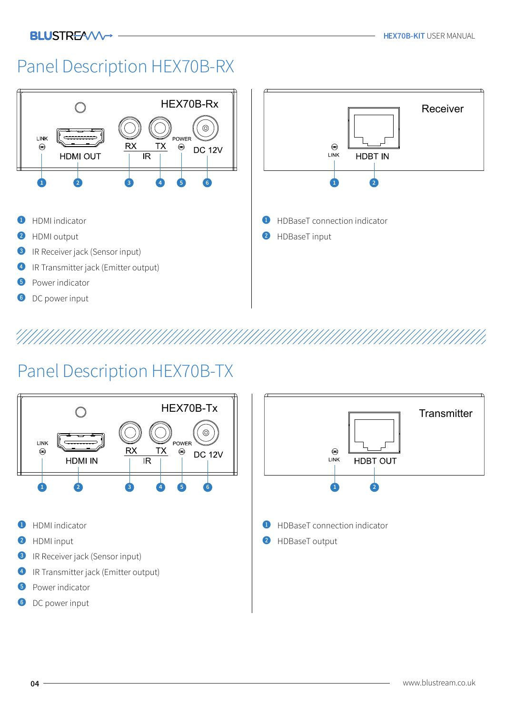#### **BLUSTREAVV-**

### Panel Description HEX70B-RX



## Panel Description HEX70B-TX

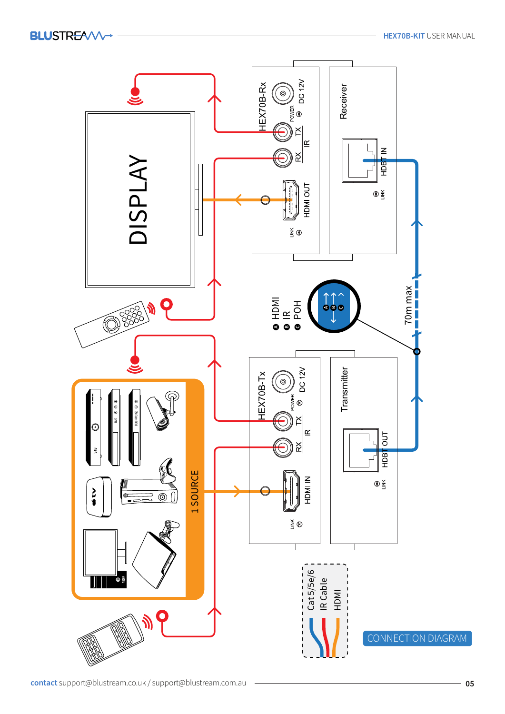**BLUSTREAVV** 

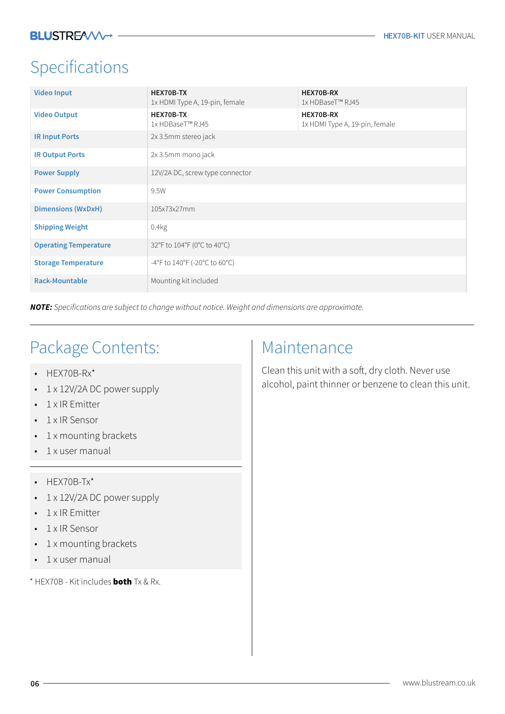### Specifications

| <b>Video Input</b>           | <b>HEX70B TX</b><br>1x HDMI Type A, 19-pin, female | <b>HEX70B-RX</b><br>1x HDBaseT™ RJ45               |
|------------------------------|----------------------------------------------------|----------------------------------------------------|
| <b>Video Output</b>          | HEX70B-TX<br>1x HDBaseT™ RJ45                      | <b>HEX70B-RX</b><br>1x HDMI Type A, 19-pin, female |
| <b>IR Input Ports</b>        | 2x 3.5mm stereo jack                               |                                                    |
| <b>IR Output Ports</b>       | 2x 3.5mm mono jack                                 |                                                    |
| <b>Power Supply</b>          | 12V/2A DC, screw type connector                    |                                                    |
| <b>Power Consumption</b>     | 9.5W                                               |                                                    |
| <b>Dimensions (WxDxH)</b>    | 105x73x27mm                                        |                                                    |
| <b>Shipping Weight</b>       | 0.4kg                                              |                                                    |
| <b>Operating Temperature</b> | 32°F to 104°F (0°C to 40°C)                        |                                                    |
| <b>Storage Temperature</b>   | -4°F to $140^{\circ}$ F (-20°C to 60°C)            |                                                    |
| <b>Rack-Mountable</b>        | Mounting kit included                              |                                                    |

**NOTE:** Specifications are subject to change without notice. Weight and dimensions are approximate.

### Package Contents:

- HEX70B-Rx\*
- 1 x 12V/2A DC power supply
- 1 x IR Emitter
- 1 x IR Sensor
- 1 x mounting brackets
- 1 x user manual
- HEX70B-Tx\*
- 1 x 12V/2A DC power supply
- 1 x IR Emitter
- 1 x IR Sensor
- 1 x mounting brackets
- 1 x user manual

\* HEX70B - Kit includes both Tx & Rx.

#### Maintenance

Clean this unit with a soft, dry cloth. Never use alcohol, paint thinner or benzene to clean this unit.